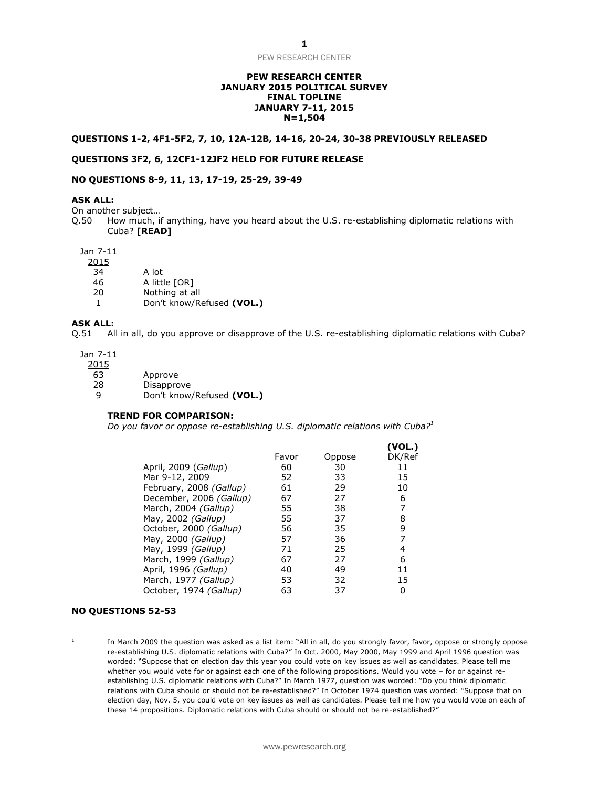# **PEW RESEARCH CENTER JANUARY 2015 POLITICAL SURVEY FINAL TOPLINE JANUARY 7-11, 2015 N=1,504**

# **QUESTIONS 1-2, 4F1-5F2, 7, 10, 12A-12B, 14-16, 20-24, 30-38 PREVIOUSLY RELEASED**

# **QUESTIONS 3F2, 6, 12CF1-12JF2 HELD FOR FUTURE RELEASE**

# **NO QUESTIONS 8-9, 11, 13, 17-19, 25-29, 39-49**

# **ASK ALL:**

On another subject…

Q.50 How much, if anything, have you heard about the U.S. re-establishing diplomatic relations with Cuba? **[READ]**

#### Jan 7-11

2015

- 34 A lot
- 46 A little [OR]
- 20 Nothing at all
- 1 Don't know/Refused **(VOL.)**

# **ASK ALL:**

Q.51 All in all, do you approve or disapprove of the U.S. re-establishing diplomatic relations with Cuba?

Jan 7-11

2015

- 63 Approve
- 28 Disapprove
- 9 Don't know/Refused **(VOL.)**

# **TREND FOR COMPARISON:**

*Do you favor or oppose re-establishing U.S. diplomatic relations with Cuba?<sup>1</sup>*

|                         |       |        | (VOL.) |
|-------------------------|-------|--------|--------|
|                         | Favor | Oppose | DK/Ref |
| April, 2009 (Gallup)    | 60    | 30     | 11     |
| Mar 9-12, 2009          | 52    | 33     | 15     |
| February, 2008 (Gallup) | 61    | 29     | 10     |
| December, 2006 (Gallup) | 67    | 27     | 6      |
| March, 2004 (Gallup)    | 55    | 38     | 7      |
| May, 2002 (Gallup)      | 55    | 37     | 8      |
| October, 2000 (Gallup)  | 56    | 35     | 9      |
| May, 2000 (Gallup)      | 57    | 36     | 7      |
| May, 1999 (Gallup)      | 71    | 25     | 4      |
| March, 1999 (Gallup)    | 67    | 27     | 6      |
| April, 1996 (Gallup)    | 40    | 49     | 11     |
| March, 1977 (Gallup)    | 53    | 32     | 15     |
| October, 1974 (Gallup)  | 63    | 37     | 0      |

#### **NO QUESTIONS 52-53**

l

1 In March 2009 the question was asked as a list item: "All in all, do you strongly favor, favor, oppose or strongly oppose re-establishing U.S. diplomatic relations with Cuba?" In Oct. 2000, May 2000, May 1999 and April 1996 question was worded: "Suppose that on election day this year you could vote on key issues as well as candidates. Please tell me whether you would vote for or against each one of the following propositions. Would you vote – for or against reestablishing U.S. diplomatic relations with Cuba?" In March 1977, question was worded: "Do you think diplomatic relations with Cuba should or should not be re-established?" In October 1974 question was worded: "Suppose that on election day, Nov. 5, you could vote on key issues as well as candidates. Please tell me how you would vote on each of these 14 propositions. Diplomatic relations with Cuba should or should not be re-established?"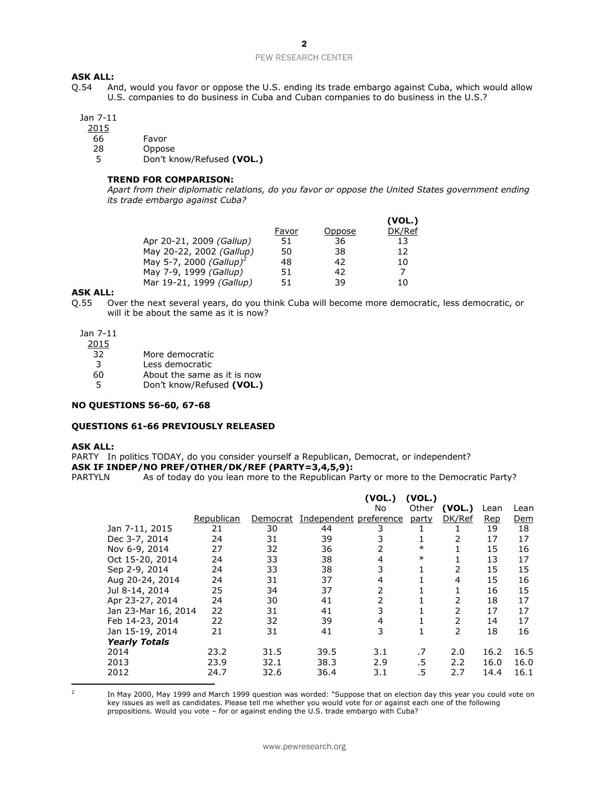# **ASK ALL:**

Q.54 And, would you favor or oppose the U.S. ending its trade embargo against Cuba, which would allow U.S. companies to do business in Cuba and Cuban companies to do business in the U.S.?

# Jan 7-11

2015

- 66 Favor
- 28 Oppose

5 Don't know/Refused **(VOL.)**

# **TREND FOR COMPARISON:**

*Apart from their diplomatic relations, do you favor or oppose the United States government ending its trade embargo against Cuba?*

|                                     |       |        | (VOL.) |
|-------------------------------------|-------|--------|--------|
|                                     | Favor | Oppose | DK/Ref |
| Apr 20-21, 2009 (Gallup)            | 51    | 36     | 13     |
| May 20-22, 2002 (Gallup)            | 50    | 38     | 12     |
| May 5-7, 2000 (Gallup) <sup>2</sup> | 48    | 42     | 10     |
| May 7-9, 1999 (Gallup)              | 51    | 42     |        |
| Mar 19-21, 1999 (Gallup)            | 51    | 39     | 10     |

#### **ASK ALL:**

Q.55 Over the next several years, do you think Cuba will become more democratic, less democratic, or will it be about the same as it is now?

Jan 7-11

2015

- 32 More democratic
- 3 Less democratic
- 60 About the same as it is now
- 5 Don't know/Refused **(VOL.)**

# **NO QUESTIONS 56-60, 67-68**

# **QUESTIONS 61-66 PREVIOUSLY RELEASED**

#### **ASK ALL:**

PARTY In politics TODAY, do you consider yourself a Republican, Democrat, or independent? **ASK IF INDEP/NO PREF/OTHER/DK/REF (PARTY=3,4,5,9):**

PARTYLN As of today do you lean more to the Republican Party or more to the Democratic Party?

|                      |            |          |                        | (VOL.)<br>No   | (VOL.)<br>Other | (VOL.)        | Lean       | Lean |
|----------------------|------------|----------|------------------------|----------------|-----------------|---------------|------------|------|
|                      | Republican | Democrat | Independent preference |                | party           | DK/Ref        | <b>Rep</b> | Dem  |
| Jan 7-11, 2015       | 21         | 30       | 44                     | 3              |                 |               | 19         | 18   |
| Dec 3-7, 2014        | 24         | 31       | 39                     | 3              | 1               | 2             | 17         | 17   |
| Nov 6-9, 2014        | 27         | 32       | 36                     | 2              | $\ast$          |               | 15         | 16   |
| Oct 15-20, 2014      | 24         | 33       | 38                     | 4              | $\ast$          |               | 13         | 17   |
| Sep 2-9, 2014        | 24         | 33       | 38                     | 3              | 1               | 2             | 15         | 15   |
| Aug 20-24, 2014      | 24         | 31       | 37                     | 4              |                 | 4             | 15         | 16   |
| Jul 8-14, 2014       | 25         | 34       | 37                     | $\overline{2}$ |                 |               | 16         | 15   |
| Apr 23-27, 2014      | 24         | 30       | 41                     | 2              |                 | 2             | 18         | 17   |
| Jan 23-Mar 16, 2014  | 22         | 31       | 41                     | 3              |                 | 2             | 17         | 17   |
| Feb 14-23, 2014      | 22         | 32       | 39                     | 4              |                 | $\mathcal{P}$ | 14         | 17   |
| Jan 15-19, 2014      | 21         | 31       | 41                     | 3              |                 | 2             | 18         | 16   |
| <b>Yearly Totals</b> |            |          |                        |                |                 |               |            |      |
| 2014                 | 23.2       | 31.5     | 39.5                   | 3.1            | .7              | 2.0           | 16.2       | 16.5 |
| 2013                 | 23.9       | 32.1     | 38.3                   | 2.9            | .5              | 2.2           | 16.0       | 16.0 |
| 2012                 | 24.7       | 32.6     | 36.4                   | 3.1            | .5              | 2.7           | 14.4       | 16.1 |

  $\overline{2}$ 

In May 2000, May 1999 and March 1999 question was worded: "Suppose that on election day this year you could vote on key issues as well as candidates. Please tell me whether you would vote for or against each one of the following propositions. Would you vote - for or against ending the U.S. trade embargo with Cuba?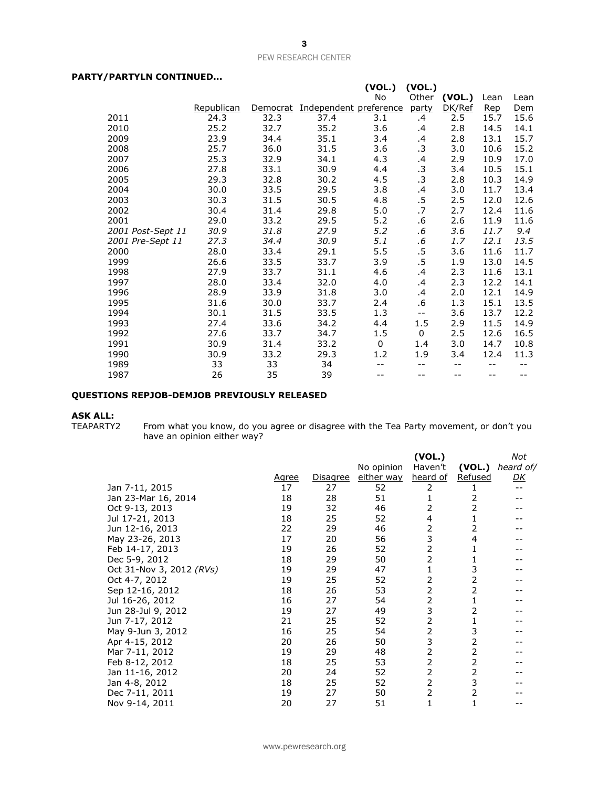# **PARTY/PARTYLN CONTINUED...**

|                   |            |          |                        | (VOL.)  | (VOL.)    |        |      |            |
|-------------------|------------|----------|------------------------|---------|-----------|--------|------|------------|
|                   |            |          |                        | No      | Other     | (VOL.) | Lean | Lean       |
|                   | Republican | Democrat | Independent preference |         | party     | DK/Ref | Rep  | <u>Dem</u> |
| 2011              | 24.3       | 32.3     | 37.4                   | 3.1     | .4        | 2.5    | 15.7 | 15.6       |
| 2010              | 25.2       | 32.7     | 35.2                   | 3.6     | .4        | 2.8    | 14.5 | 14.1       |
| 2009              | 23.9       | 34.4     | 35.1                   | 3.4     | $\cdot$   | 2.8    | 13.1 | 15.7       |
| 2008              | 25.7       | 36.0     | 31.5                   | 3.6     | $\cdot$ 3 | 3.0    | 10.6 | 15.2       |
| 2007              | 25.3       | 32.9     | 34.1                   | 4.3     | .4        | 2.9    | 10.9 | 17.0       |
| 2006              | 27.8       | 33.1     | 30.9                   | 4.4     | .3        | 3.4    | 10.5 | 15.1       |
| 2005              | 29.3       | 32.8     | 30.2                   | 4.5     | $\cdot$ 3 | 2.8    | 10.3 | 14.9       |
| 2004              | 30.0       | 33.5     | 29.5                   | 3.8     | $\cdot$   | 3.0    | 11.7 | 13.4       |
| 2003              | 30.3       | 31.5     | 30.5                   | 4.8     | $.5\,$    | 2.5    | 12.0 | 12.6       |
| 2002              | 30.4       | 31.4     | 29.8                   | 5.0     | .7        | 2.7    | 12.4 | 11.6       |
| 2001              | 29.0       | 33.2     | 29.5                   | 5.2     | .6        | 2.6    | 11.9 | 11.6       |
| 2001 Post-Sept 11 | 30.9       | 31.8     | 27.9                   | 5.2     | .6        | 3.6    | 11.7 | 9.4        |
| 2001 Pre-Sept 11  | 27.3       | 34.4     | 30.9                   | 5.1     | $.6\,$    | 1.7    | 12.1 | 13.5       |
| 2000              | 28.0       | 33.4     | 29.1                   | 5.5     | $.5\,$    | 3.6    | 11.6 | 11.7       |
| 1999              | 26.6       | 33.5     | 33.7                   | 3.9     | .5        | 1.9    | 13.0 | 14.5       |
| 1998              | 27.9       | 33.7     | 31.1                   | 4.6     | .4        | 2.3    | 11.6 | 13.1       |
| 1997              | 28.0       | 33.4     | 32.0                   | 4.0     | .4        | 2.3    | 12.2 | 14.1       |
| 1996              | 28.9       | 33.9     | 31.8                   | 3.0     | $\cdot$   | 2.0    | 12.1 | 14.9       |
| 1995              | 31.6       | 30.0     | 33.7                   | 2.4     | .6        | 1.3    | 15.1 | 13.5       |
| 1994              | 30.1       | 31.5     | 33.5                   | 1.3     | $- -$     | 3.6    | 13.7 | 12.2       |
| 1993              | 27.4       | 33.6     | 34.2                   | 4.4     | $1.5\,$   | 2.9    | 11.5 | 14.9       |
| 1992              | 27.6       | 33.7     | 34.7                   | $1.5\,$ | 0         | 2.5    | 12.6 | 16.5       |
| 1991              | 30.9       | 31.4     | 33.2                   | 0       | 1.4       | 3.0    | 14.7 | 10.8       |
| 1990              | 30.9       | 33.2     | 29.3                   | 1.2     | 1.9       | 3.4    | 12.4 | 11.3       |
| 1989              | 33         | 33       | 34                     |         | --        | --     | $-$  |            |
| 1987              | 26         | 35       | 39                     |         |           | $-1$   | --   |            |

# **QUESTIONS REPJOB-DEMJOB PREVIOUSLY RELEASED**

**ASK ALL:**

TEAPARTY2 From what you know, do you agree or disagree with the Tea Party movement, or don't you have an opinion either way?

|                          | <u>Agree</u> | Disagree | No opinion<br>either way | (VOL.)<br>Haven't<br>heard of | (VOL.)<br><b>Refused</b> | Not<br>heard of/<br><u>DК</u> |
|--------------------------|--------------|----------|--------------------------|-------------------------------|--------------------------|-------------------------------|
| Jan 7-11, 2015           | 17           | 27       | 52                       | 2                             |                          | $- -$                         |
| Jan 23-Mar 16, 2014      | 18           | 28       | 51                       |                               | 2                        |                               |
| Oct 9-13, 2013           | 19           | 32       | 46                       | 2                             | 2                        |                               |
| Jul 17-21, 2013          | 18           | 25       | 52                       | 4                             |                          |                               |
| Jun 12-16, 2013          | 22           | 29       | 46                       | 2                             | 2                        |                               |
| May 23-26, 2013          | 17           | 20       | 56                       | 3                             | 4                        |                               |
| Feb 14-17, 2013          | 19           | 26       | 52                       | 2                             |                          |                               |
| Dec 5-9, 2012            | 18           | 29       | 50                       | 2                             |                          |                               |
| Oct 31-Nov 3, 2012 (RVs) | 19           | 29       | 47                       | 1                             | 3                        |                               |
| Oct 4-7, 2012            | 19           | 25       | 52                       | 2                             | 2                        |                               |
| Sep 12-16, 2012          | 18           | 26       | 53                       | $\overline{2}$                | 2                        |                               |
| Jul 16-26, 2012          | 16           | 27       | 54                       | 2                             |                          |                               |
| Jun 28-Jul 9, 2012       | 19           | 27       | 49                       | 3                             | 2                        |                               |
| Jun 7-17, 2012           | 21           | 25       | 52                       | 2                             |                          |                               |
| May 9-Jun 3, 2012        | 16           | 25       | 54                       | 2                             | 3                        |                               |
| Apr 4-15, 2012           | 20           | 26       | 50                       | 3                             | 2                        |                               |
| Mar 7-11, 2012           | 19           | 29       | 48                       | 2                             | 2                        |                               |
| Feb 8-12, 2012           | 18           | 25       | 53                       | 2                             | 2                        |                               |
| Jan 11-16, 2012          | 20           | 24       | 52                       | 2                             | 2                        |                               |
| Jan 4-8, 2012            | 18           | 25       | 52                       | 2                             | 3                        |                               |
| Dec 7-11, 2011           | 19           | 27       | 50                       | 2                             | 2                        |                               |
| Nov 9-14, 2011           | 20           | 27       | 51                       | 1                             |                          |                               |